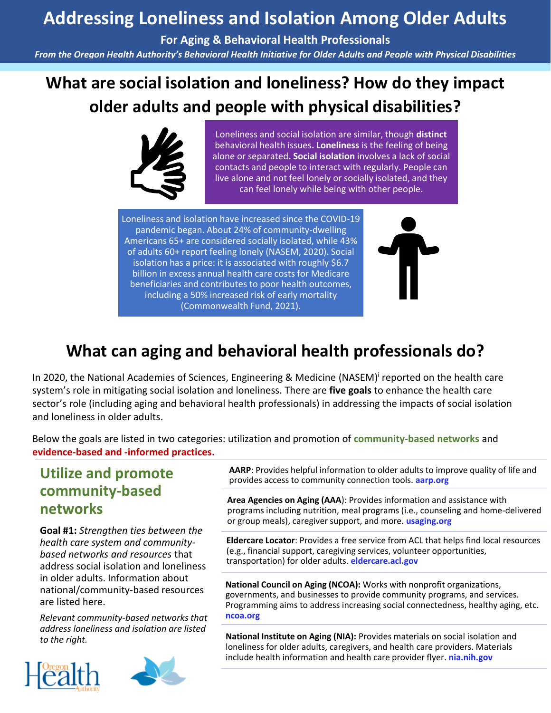## **Addressing Loneliness and Isolation Among Older Adults**

**For Aging & Behavioral Health Professionals**

*From the Oregon Health Authority's Behavioral Health Initiative for Older Adults and People with Physical Disabilities*

# **What are social isolation and loneliness? How do they impact older adults and people with physical disabilities?**



Loneliness and social isolation are similar, though **distinct** behavioral health issues**. Loneliness** is the feeling of being alone or separated**. Social isolation** involves a lack of social contacts and people to interact with regularly. People can live alone and not feel lonely or socially isolated, and they can feel lonely while being with other people.

Loneliness and isolation have increased since the COVID-19 pandemic began. About 24% of community-dwelling Americans 65+ are considered socially isolated, while 43% of adults 60+ report feeling lonely (NASEM, 2020). Social isolation has a price: it is associated with roughly \$6.7 billion in excess annual health care costs for Medicare beneficiaries and contributes to poor health outcomes, including a 50% increased risk of early mortality (Commonwealth Fund, 2021).



## **What can aging and behavioral health professionals do?**

In 2020, the National Academies of Sciences, Engineering & Medicine (NASEM)<sup>i</sup> reported on the health care system's role in mitigating social isolation and loneliness. There are **five goals** to enhance the health care sector's role (including aging and behavioral health professionals) in addressing the impacts of social isolation and loneliness in older adults.

Below the goals are listed in two categories: utilization and promotion of **community-based networks** and **evidence-based and -informed practices.**

### **Utilize and promote community-based networks**

**Goal #1:** *Strengthen ties between the health care system and communitybased networks and resources* that address social isolation and loneliness in older adults. Information about national/community-based resources are listed here.

*Relevant community-based networks that address loneliness and isolation are listed to the right.*



**AARP**[: Provides helpful information to older adults to improve quality of life and](https://www.aarp.org/)  provides access to community connection tools. **aarp.org**

**Area Agencies on Aging (AAA**): Provides information and assistance with [programs including nutrition, meal programs \(i.e., counseling and home-delivered](usaging.org)  or group meals), caregiver support, and more. **usaging.org**

**Eldercare Locator**: Provides a free service from ACL that helps find local resources [\(e.g., financial support, caregiving services, volunteer opportunities,](eldercare.acl.gov)  transportation) for older adults. **eldercare.acl.gov**

**National Council on Aging (NCOA):** Works with nonprofit organizations, governments, and businesses to provide community programs, and services. [Programming aims to address increasing social connectedness, healthy aging, etc.](ncoa.org)  **ncoa.org** 

**National Institute on Aging (NIA):** Provides materials on social isolation and [loneliness for older adults, caregivers, and health care providers. Materials](nia.nih.gov)  include health information and health care provider flyer. **nia.nih.gov**